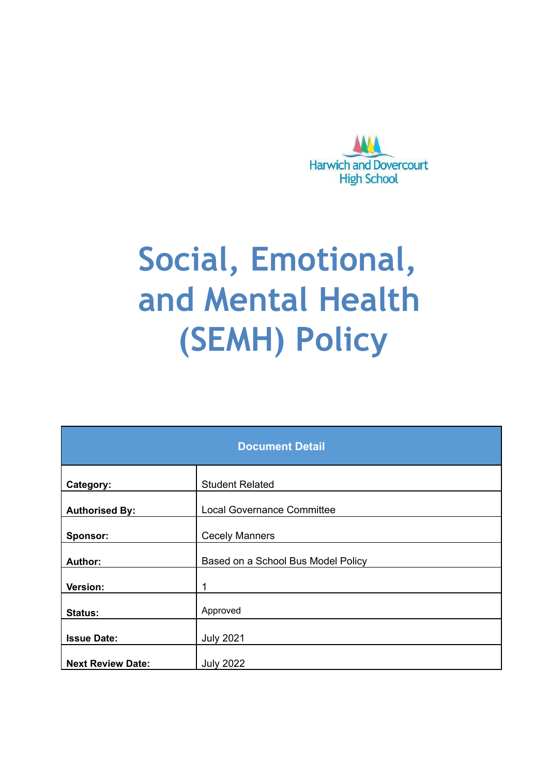

# **Social, Emotional, and Mental Health (SEMH) Policy**

| <b>Document Detail</b>   |                                    |  |
|--------------------------|------------------------------------|--|
| Category:                | <b>Student Related</b>             |  |
| <b>Authorised By:</b>    | <b>Local Governance Committee</b>  |  |
| Sponsor:                 | <b>Cecely Manners</b>              |  |
| <b>Author:</b>           | Based on a School Bus Model Policy |  |
| Version:                 |                                    |  |
| Status:                  | Approved                           |  |
| <b>Issue Date:</b>       | <b>July 2021</b>                   |  |
| <b>Next Review Date:</b> | <b>July 2022</b>                   |  |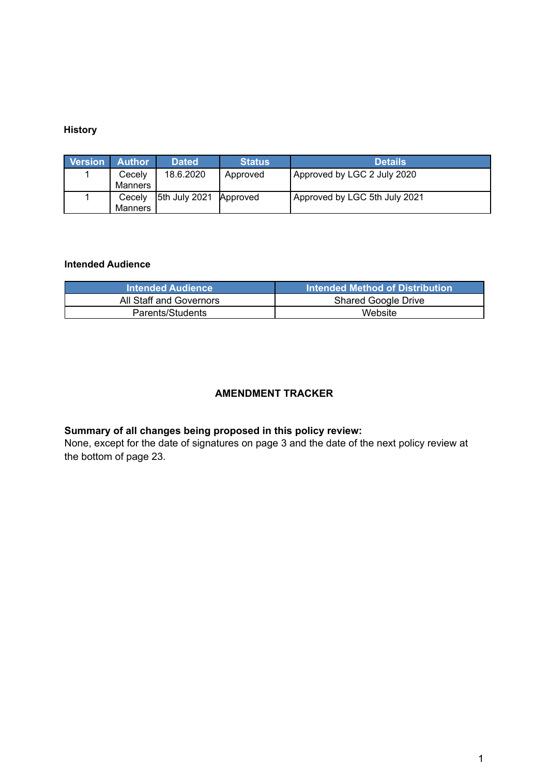#### **History**

| <b>Version</b> | <b>Author</b> | <b>Dated</b>  | <b>Status</b> | <b>Details</b>                |
|----------------|---------------|---------------|---------------|-------------------------------|
|                | Cecelv        | 18.6.2020     | Approved      | Approved by LGC 2 July 2020   |
|                | Manners       |               |               |                               |
|                | Cecely        | 5th July 2021 | Approved      | Approved by LGC 5th July 2021 |
|                | Manners       |               |               |                               |

#### **Intended Audience**

| All Staff and Governors | <b>Shared Google Drive</b> |
|-------------------------|----------------------------|
| Parents/Students        | Website                    |

#### **AMENDMENT TRACKER**

#### **Summary of all changes being proposed in this policy review:**

None, except for the date of signatures on page 3 and the date of the next policy review at the bottom of page 23.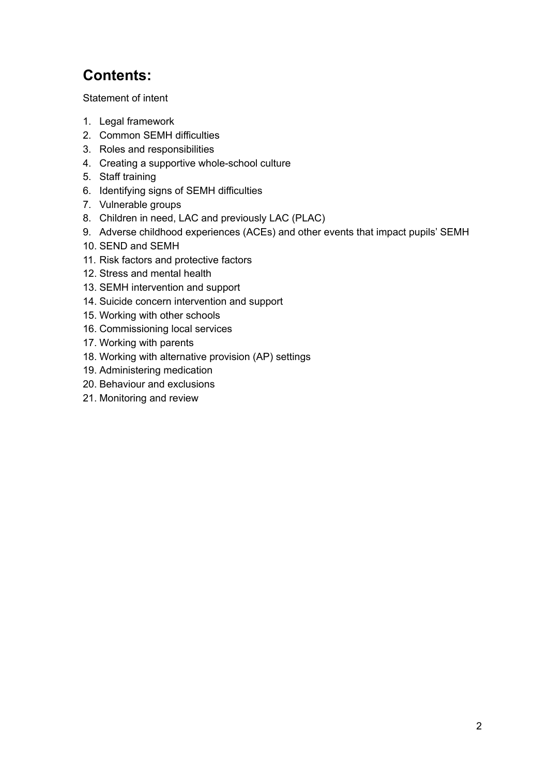# **Contents:**

[Statement](#page-3-0) of intent

- 1. Legal [framework](#page-4-0)
- 2. Common SEMH [difficulties](#page-4-1)
- 3. Roles and [responsibilities](#page-6-0)
- 4. Creating a supportive [whole-school](#page-9-0) culture
- 5. Staff [training](#page-10-0)
- 6. [Identifying](#page-10-1) signs of SEMH difficulties
- 7. [Vulnerable](#page-13-0) groups
- 8. Children in need, LAC and [previously](#page-13-1) LAC (PLAC)
- 9. Adverse childhood [experiences](#page-14-0) (ACEs) and other events that impact pupils' SEMH
- 10. SEND and [SEMH](#page-15-0)
- 11. Risk factors and [protective](#page-15-1) factors
- 12. Stress and [mental](#page-18-0) health
- 13. SEMH [intervention](#page-18-1) and support
- 14. Suicide concern [intervention](#page-20-0) and support
- 15. [Working](#page-21-0) with other schools
- 16. [Commissioning](#page-21-1) local services
- 17. [Working](#page-21-2) with parents
- 18. Working with [alternative](#page-21-3) provision (AP) settings
- 19. [Administering](#page-22-0) medication
- 20. Behaviour and [exclusions](#page-22-1)
- 21. [Monitoring](#page-22-2) and review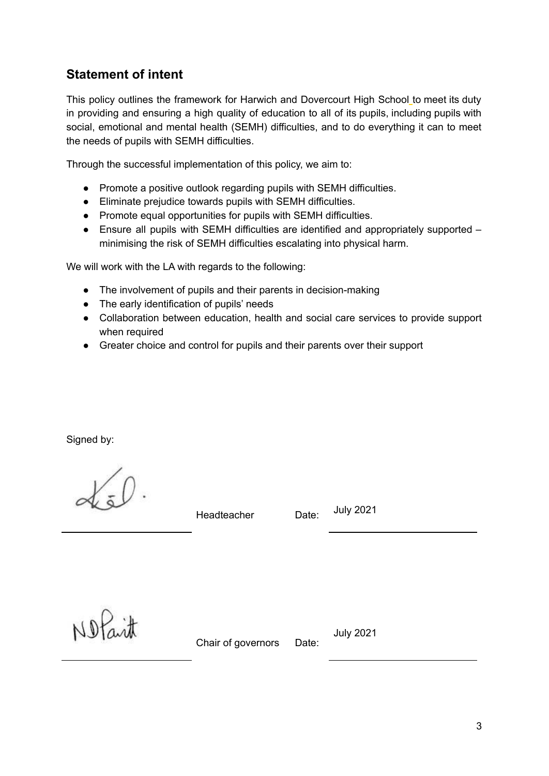## <span id="page-3-0"></span>**Statement of intent**

This policy outlines the framework for Harwich and Dovercourt High School to meet its duty in providing and ensuring a high quality of education to all of its pupils, including pupils with social, emotional and mental health (SEMH) difficulties, and to do everything it can to meet the needs of pupils with SEMH difficulties.

Through the successful implementation of this policy, we aim to:

- Promote a positive outlook regarding pupils with SEMH difficulties.
- Eliminate prejudice towards pupils with SEMH difficulties.
- Promote equal opportunities for pupils with SEMH difficulties.
- Ensure all pupils with SEMH difficulties are identified and appropriately supported minimising the risk of SEMH difficulties escalating into physical harm.

We will work with the LA with regards to the following:

- The involvement of pupils and their parents in decision-making
- The early identification of pupils' needs
- Collaboration between education, health and social care services to provide support when required
- Greater choice and control for pupils and their parents over their support

Signed by:

Headteacher Date:

July 2021

Nofait

Chair of governors Date:

July 2021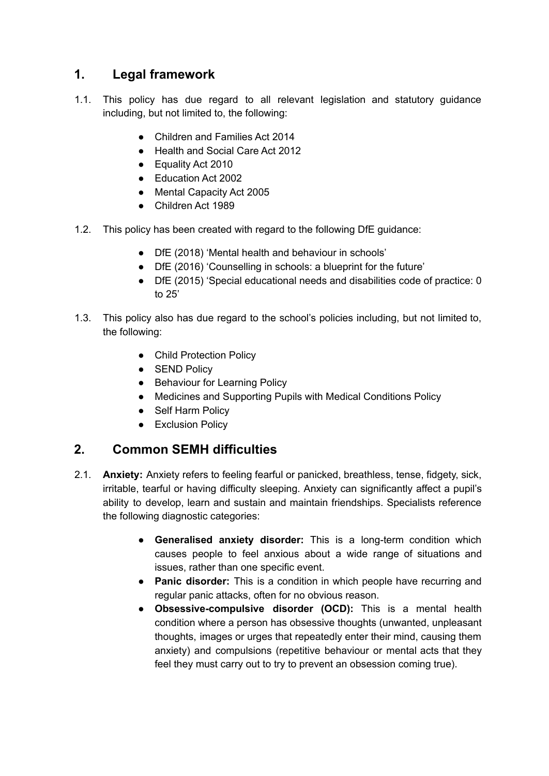## <span id="page-4-0"></span>**1. Legal framework**

- 1.1. This policy has due regard to all relevant legislation and statutory guidance including, but not limited to, the following:
	- Children and Families Act 2014
	- Health and Social Care Act 2012
	- Equality Act 2010
	- Education Act 2002
	- Mental Capacity Act 2005
	- Children Act 1989
- 1.2. This policy has been created with regard to the following DfE guidance:
	- DfE (2018) 'Mental health and behaviour in schools'
	- **●** DfE (2016) 'Counselling in schools: a blueprint for the future'
	- DfE (2015) 'Special educational needs and disabilities code of practice: 0 to 25'
- 1.3. This policy also has due regard to the school's policies including, but not limited to, the following:
	- Child Protection Policy
	- SEND Policy
	- Behaviour for Learning Policy
	- Medicines and Supporting Pupils with Medical Conditions Policy
	- Self Harm Policy
	- Exclusion Policy

## <span id="page-4-1"></span>**2. Common SEMH difficulties**

- 2.1. **Anxiety:** Anxiety refers to feeling fearful or panicked, breathless, tense, fidgety, sick, irritable, tearful or having difficulty sleeping. Anxiety can significantly affect a pupil's ability to develop, learn and sustain and maintain friendships. Specialists reference the following diagnostic categories:
	- **Generalised anxiety disorder:** This is a long-term condition which causes people to feel anxious about a wide range of situations and issues, rather than one specific event.
	- **Panic disorder:** This is a condition in which people have recurring and regular panic attacks, often for no obvious reason.
	- **Obsessive-compulsive disorder (OCD):** This is a mental health condition where a person has obsessive thoughts (unwanted, unpleasant thoughts, images or urges that repeatedly enter their mind, causing them anxiety) and compulsions (repetitive behaviour or mental acts that they feel they must carry out to try to prevent an obsession coming true).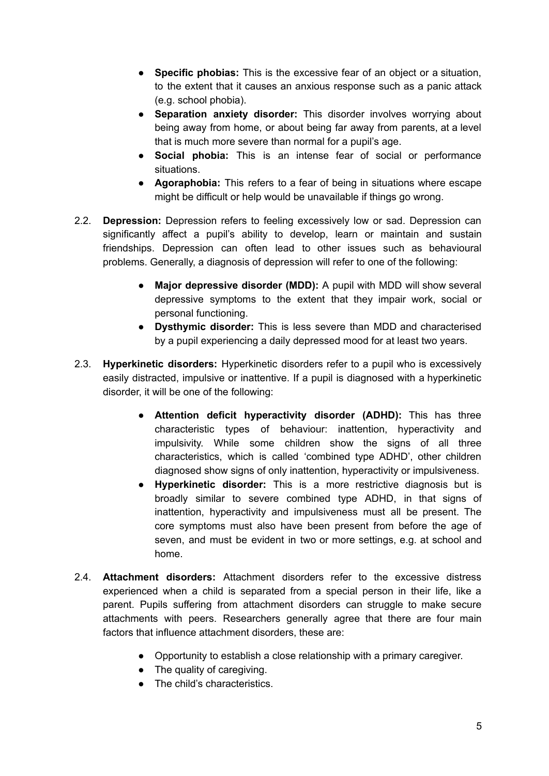- **Specific phobias:** This is the excessive fear of an object or a situation, to the extent that it causes an anxious response such as a panic attack (e.g. school phobia).
- **Separation anxiety disorder:** This disorder involves worrying about being away from home, or about being far away from parents, at a level that is much more severe than normal for a pupil's age.
- **Social phobia:** This is an intense fear of social or performance situations.
- **Agoraphobia:** This refers to a fear of being in situations where escape might be difficult or help would be unavailable if things go wrong.
- 2.2. **Depression:** Depression refers to feeling excessively low or sad. Depression can significantly affect a pupil's ability to develop, learn or maintain and sustain friendships. Depression can often lead to other issues such as behavioural problems. Generally, a diagnosis of depression will refer to one of the following:
	- **Major depressive disorder (MDD):** A pupil with MDD will show several depressive symptoms to the extent that they impair work, social or personal functioning.
	- **Dysthymic disorder:** This is less severe than MDD and characterised by a pupil experiencing a daily depressed mood for at least two years.
- 2.3. **Hyperkinetic disorders:** Hyperkinetic disorders refer to a pupil who is excessively easily distracted, impulsive or inattentive. If a pupil is diagnosed with a hyperkinetic disorder, it will be one of the following:
	- **Attention deficit hyperactivity disorder (ADHD):** This has three characteristic types of behaviour: inattention, hyperactivity and impulsivity. While some children show the signs of all three characteristics, which is called 'combined type ADHD', other children diagnosed show signs of only inattention, hyperactivity or impulsiveness.
	- **Hyperkinetic disorder:** This is a more restrictive diagnosis but is broadly similar to severe combined type ADHD, in that signs of inattention, hyperactivity and impulsiveness must all be present. The core symptoms must also have been present from before the age of seven, and must be evident in two or more settings, e.g. at school and home.
- 2.4. **Attachment disorders:** Attachment disorders refer to the excessive distress experienced when a child is separated from a special person in their life, like a parent. Pupils suffering from attachment disorders can struggle to make secure attachments with peers. Researchers generally agree that there are four main factors that influence attachment disorders, these are:
	- Opportunity to establish a close relationship with a primary caregiver.
	- The quality of caregiving.
	- The child's characteristics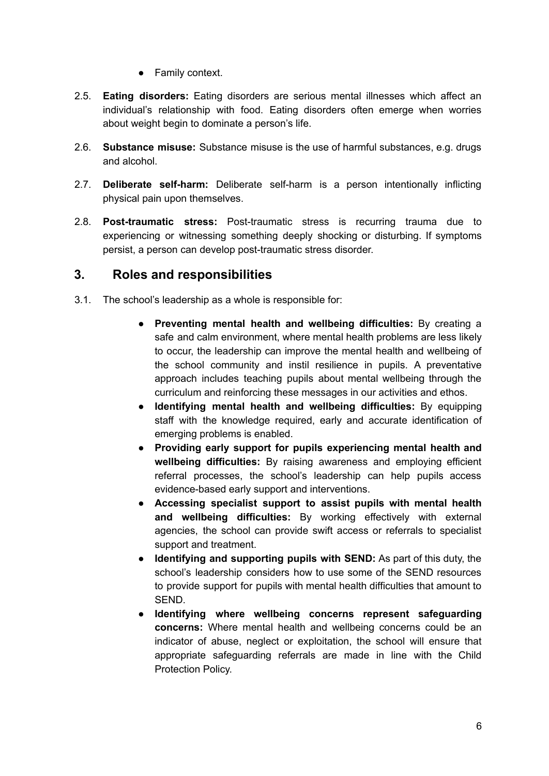• Family context.

- 2.5. **Eating disorders:** Eating disorders are serious mental illnesses which affect an individual's relationship with food. Eating disorders often emerge when worries about weight begin to dominate a person's life.
- 2.6. **Substance misuse:** Substance misuse is the use of harmful substances, e.g. drugs and alcohol.
- 2.7. **Deliberate self-harm:** Deliberate self-harm is a person intentionally inflicting physical pain upon themselves.
- 2.8. **Post-traumatic stress:** Post-traumatic stress is recurring trauma due to experiencing or witnessing something deeply shocking or disturbing. If symptoms persist, a person can develop post-traumatic stress disorder.

### <span id="page-6-0"></span>**3. Roles and responsibilities**

- 3.1. The school's leadership as a whole is responsible for:
	- **Preventing mental health and wellbeing difficulties:** By creating a safe and calm environment, where mental health problems are less likely to occur, the leadership can improve the mental health and wellbeing of the school community and instil resilience in pupils. A preventative approach includes teaching pupils about mental wellbeing through the curriculum and reinforcing these messages in our activities and ethos.
	- **Identifying mental health and wellbeing difficulties:** By equipping staff with the knowledge required, early and accurate identification of emerging problems is enabled.
	- **Providing early support for pupils experiencing mental health and wellbeing difficulties:** By raising awareness and employing efficient referral processes, the school's leadership can help pupils access evidence-based early support and interventions.
	- **Accessing specialist support to assist pupils with mental health and wellbeing difficulties:** By working effectively with external agencies, the school can provide swift access or referrals to specialist support and treatment.
	- **Identifying and supporting pupils with SEND:** As part of this duty, the school's leadership considers how to use some of the SEND resources to provide support for pupils with mental health difficulties that amount to SEND.
	- **Identifying where wellbeing concerns represent safeguarding concerns:** Where mental health and wellbeing concerns could be an indicator of abuse, neglect or exploitation, the school will ensure that appropriate safeguarding referrals are made in line with the Child Protection Policy.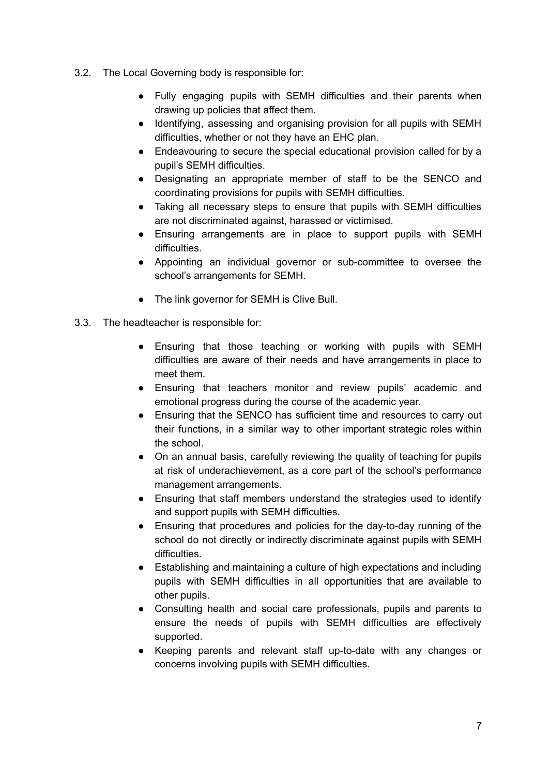- 3.2. The Local Governing body is responsible for:
	- Fully engaging pupils with SEMH difficulties and their parents when drawing up policies that affect them.
	- Identifying, assessing and organising provision for all pupils with SEMH difficulties, whether or not they have an EHC plan.
	- Endeavouring to secure the special educational provision called for by a pupil's SEMH difficulties.
	- Designating an appropriate member of staff to be the SENCO and coordinating provisions for pupils with SEMH difficulties.
	- Taking all necessary steps to ensure that pupils with SEMH difficulties are not discriminated against, harassed or victimised.
	- Ensuring arrangements are in place to support pupils with SEMH difficulties.
	- Appointing an individual governor or sub-committee to oversee the school's arrangements for SEMH.
	- The link governor for SEMH is Clive Bull.
- 3.3. The headteacher is responsible for:
	- Ensuring that those teaching or working with pupils with SEMH difficulties are aware of their needs and have arrangements in place to meet them.
	- Ensuring that teachers monitor and review pupils' academic and emotional progress during the course of the academic year.
	- Ensuring that the SENCO has sufficient time and resources to carry out their functions, in a similar way to other important strategic roles within the school.
	- On an annual basis, carefully reviewing the quality of teaching for pupils at risk of underachievement, as a core part of the school's performance management arrangements.
	- Ensuring that staff members understand the strategies used to identify and support pupils with SEMH difficulties.
	- Ensuring that procedures and policies for the day-to-day running of the school do not directly or indirectly discriminate against pupils with SEMH difficulties.
	- Establishing and maintaining a culture of high expectations and including pupils with SEMH difficulties in all opportunities that are available to other pupils.
	- Consulting health and social care professionals, pupils and parents to ensure the needs of pupils with SEMH difficulties are effectively supported.
	- Keeping parents and relevant staff up-to-date with any changes or concerns involving pupils with SEMH difficulties.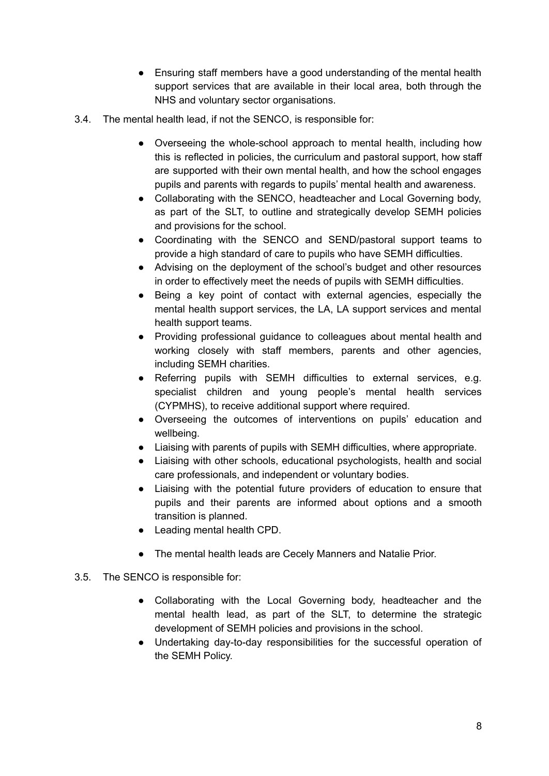- Ensuring staff members have a good understanding of the mental health support services that are available in their local area, both through the NHS and voluntary sector organisations.
- 3.4. The mental health lead, if not the SENCO, is responsible for:
	- Overseeing the whole-school approach to mental health, including how this is reflected in policies, the curriculum and pastoral support, how staff are supported with their own mental health, and how the school engages pupils and parents with regards to pupils' mental health and awareness.
	- Collaborating with the SENCO, headteacher and Local Governing body, as part of the SLT, to outline and strategically develop SEMH policies and provisions for the school.
	- Coordinating with the SENCO and SEND/pastoral support teams to provide a high standard of care to pupils who have SEMH difficulties.
	- Advising on the deployment of the school's budget and other resources in order to effectively meet the needs of pupils with SEMH difficulties.
	- Being a key point of contact with external agencies, especially the mental health support services, the LA, LA support services and mental health support teams.
	- Providing professional guidance to colleagues about mental health and working closely with staff members, parents and other agencies, including SEMH charities.
	- Referring pupils with SEMH difficulties to external services, e.g. specialist children and young people's mental health services (CYPMHS), to receive additional support where required.
	- Overseeing the outcomes of interventions on pupils' education and wellbeing.
	- Liaising with parents of pupils with SEMH difficulties, where appropriate.
	- Liaising with other schools, educational psychologists, health and social care professionals, and independent or voluntary bodies.
	- Liaising with the potential future providers of education to ensure that pupils and their parents are informed about options and a smooth transition is planned.
	- Leading mental health CPD.
	- The mental health leads are Cecely Manners and Natalie Prior.
- 3.5. The SENCO is responsible for:
	- Collaborating with the Local Governing body, headteacher and the mental health lead, as part of the SLT, to determine the strategic development of SEMH policies and provisions in the school.
	- Undertaking day-to-day responsibilities for the successful operation of the SEMH Policy.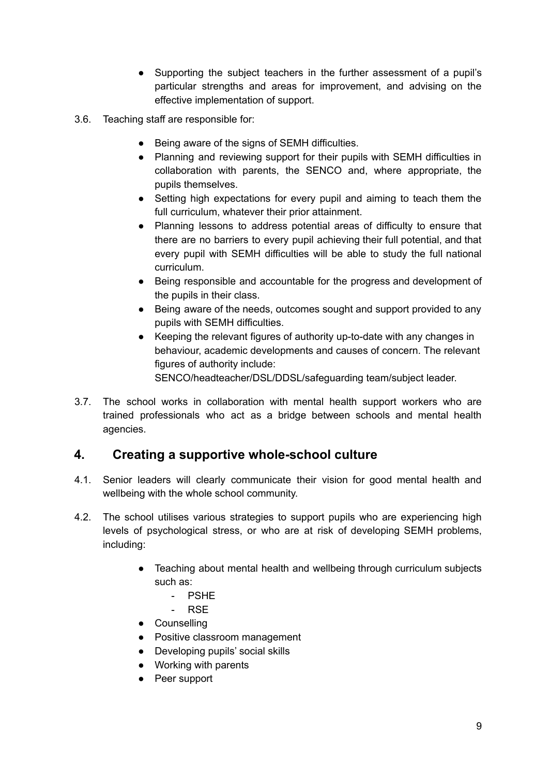- Supporting the subject teachers in the further assessment of a pupil's particular strengths and areas for improvement, and advising on the effective implementation of support.
- 3.6. Teaching staff are responsible for:
	- Being aware of the signs of SEMH difficulties.
	- Planning and reviewing support for their pupils with SEMH difficulties in collaboration with parents, the SENCO and, where appropriate, the pupils themselves.
	- Setting high expectations for every pupil and aiming to teach them the full curriculum, whatever their prior attainment.
	- Planning lessons to address potential areas of difficulty to ensure that there are no barriers to every pupil achieving their full potential, and that every pupil with SEMH difficulties will be able to study the full national curriculum.
	- Being responsible and accountable for the progress and development of the pupils in their class.
	- Being aware of the needs, outcomes sought and support provided to any pupils with SEMH difficulties.
	- Keeping the relevant figures of authority up-to-date with any changes in behaviour, academic developments and causes of concern. The relevant figures of authority include:

SENCO/headteacher/DSL/DDSL/safeguarding team/subject leader.

3.7. The school works in collaboration with mental health support workers who are trained professionals who act as a bridge between schools and mental health agencies.

## <span id="page-9-0"></span>**4. Creating a supportive whole-school culture**

- 4.1. Senior leaders will clearly communicate their vision for good mental health and wellbeing with the whole school community.
- 4.2. The school utilises various strategies to support pupils who are experiencing high levels of psychological stress, or who are at risk of developing SEMH problems, including:
	- Teaching about mental health and wellbeing through curriculum subjects such as:
		- PSHE
		- RSE
	- Counselling
	- Positive classroom management
	- Developing pupils' social skills
	- Working with parents
	- Peer support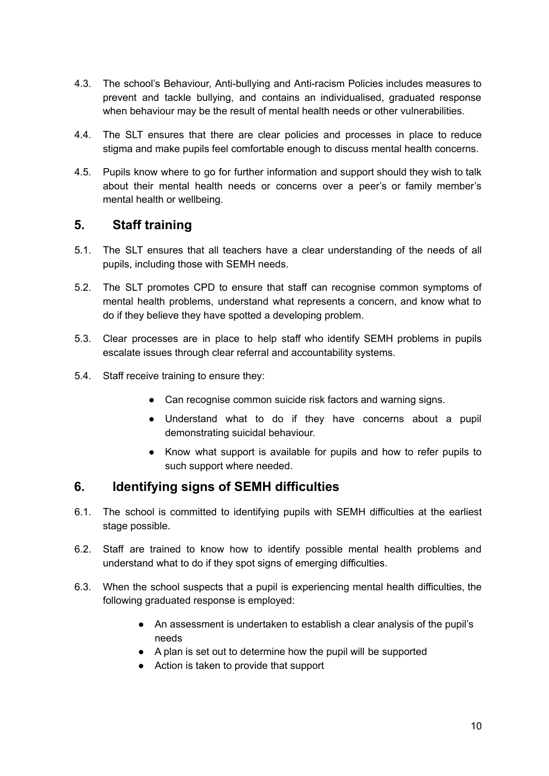- 4.3. The school's Behaviour, Anti-bullying and Anti-racism Policies includes measures to prevent and tackle bullying, and contains an individualised, graduated response when behaviour may be the result of mental health needs or other vulnerabilities.
- 4.4. The SLT ensures that there are clear policies and processes in place to reduce stigma and make pupils feel comfortable enough to discuss mental health concerns.
- 4.5. Pupils know where to go for further information and support should they wish to talk about their mental health needs or concerns over a peer's or family member's mental health or wellbeing.

## <span id="page-10-0"></span>**5. Staff training**

- 5.1. The SLT ensures that all teachers have a clear understanding of the needs of all pupils, including those with SEMH needs.
- 5.2. The SLT promotes CPD to ensure that staff can recognise common symptoms of mental health problems, understand what represents a concern, and know what to do if they believe they have spotted a developing problem.
- 5.3. Clear processes are in place to help staff who identify SEMH problems in pupils escalate issues through clear referral and accountability systems.
- 5.4. Staff receive training to ensure they:
	- Can recognise common suicide risk factors and warning signs.
	- Understand what to do if they have concerns about a pupil demonstrating suicidal behaviour.
	- Know what support is available for pupils and how to refer pupils to such support where needed.

## <span id="page-10-1"></span>**6. Identifying signs of SEMH difficulties**

- 6.1. The school is committed to identifying pupils with SEMH difficulties at the earliest stage possible.
- 6.2. Staff are trained to know how to identify possible mental health problems and understand what to do if they spot signs of emerging difficulties.
- 6.3. When the school suspects that a pupil is experiencing mental health difficulties, the following graduated response is employed:
	- An assessment is undertaken to establish a clear analysis of the pupil's needs
	- A plan is set out to determine how the pupil will be supported
	- Action is taken to provide that support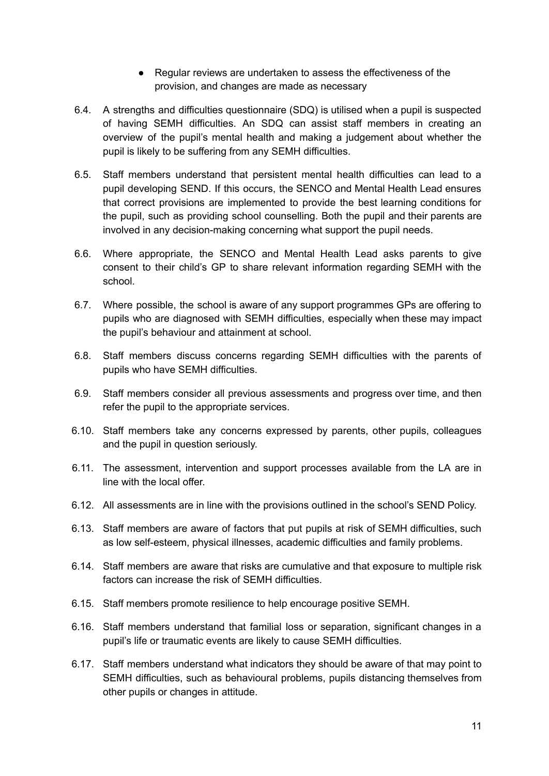- Regular reviews are undertaken to assess the effectiveness of the provision, and changes are made as necessary
- 6.4. A strengths and difficulties questionnaire (SDQ) is utilised when a pupil is suspected of having SEMH difficulties. An SDQ can assist staff members in creating an overview of the pupil's mental health and making a judgement about whether the pupil is likely to be suffering from any SEMH difficulties.
- 6.5. Staff members understand that persistent mental health difficulties can lead to a pupil developing SEND. If this occurs, the SENCO and Mental Health Lead ensures that correct provisions are implemented to provide the best learning conditions for the pupil, such as providing school counselling. Both the pupil and their parents are involved in any decision-making concerning what support the pupil needs.
- 6.6. Where appropriate, the SENCO and Mental Health Lead asks parents to give consent to their child's GP to share relevant information regarding SEMH with the school.
- 6.7. Where possible, the school is aware of any support programmes GPs are offering to pupils who are diagnosed with SEMH difficulties, especially when these may impact the pupil's behaviour and attainment at school.
- 6.8. Staff members discuss concerns regarding SEMH difficulties with the parents of pupils who have SEMH difficulties.
- 6.9. Staff members consider all previous assessments and progress over time, and then refer the pupil to the appropriate services.
- 6.10. Staff members take any concerns expressed by parents, other pupils, colleagues and the pupil in question seriously.
- 6.11. The assessment, intervention and support processes available from the LA are in line with the local offer.
- 6.12. All assessments are in line with the provisions outlined in the school's SEND Policy.
- 6.13. Staff members are aware of factors that put pupils at risk of SEMH difficulties, such as low self-esteem, physical illnesses, academic difficulties and family problems.
- 6.14. Staff members are aware that risks are cumulative and that exposure to multiple risk factors can increase the risk of SEMH difficulties.
- 6.15. Staff members promote resilience to help encourage positive SEMH.
- 6.16. Staff members understand that familial loss or separation, significant changes in a pupil's life or traumatic events are likely to cause SEMH difficulties.
- 6.17. Staff members understand what indicators they should be aware of that may point to SEMH difficulties, such as behavioural problems, pupils distancing themselves from other pupils or changes in attitude.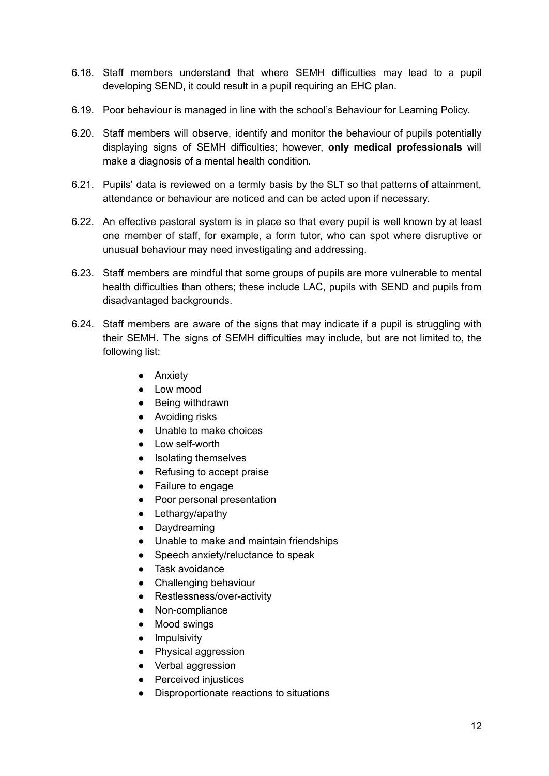- 6.18. Staff members understand that where SEMH difficulties may lead to a pupil developing SEND, it could result in a pupil requiring an EHC plan.
- 6.19. Poor behaviour is managed in line with the school's Behaviour for Learning Policy.
- 6.20. Staff members will observe, identify and monitor the behaviour of pupils potentially displaying signs of SEMH difficulties; however, **only medical professionals** will make a diagnosis of a mental health condition.
- 6.21. Pupils' data is reviewed on a termly basis by the SLT so that patterns of attainment, attendance or behaviour are noticed and can be acted upon if necessary.
- 6.22. An effective pastoral system is in place so that every pupil is well known by at least one member of staff, for example, a form tutor, who can spot where disruptive or unusual behaviour may need investigating and addressing.
- 6.23. Staff members are mindful that some groups of pupils are more vulnerable to mental health difficulties than others; these include LAC, pupils with SEND and pupils from disadvantaged backgrounds.
- 6.24. Staff members are aware of the signs that may indicate if a pupil is struggling with their SEMH. The signs of SEMH difficulties may include, but are not limited to, the following list:
	- Anxiety
	- Low mood
	- Being withdrawn
	- Avoiding risks
	- Unable to make choices
	- Low self-worth
	- Isolating themselves
	- Refusing to accept praise
	- Failure to engage
	- Poor personal presentation
	- Lethargy/apathy
	- Daydreaming
	- Unable to make and maintain friendships
	- Speech anxiety/reluctance to speak
	- Task avoidance
	- Challenging behaviour
	- Restlessness/over-activity
	- Non-compliance
	- Mood swings
	- Impulsivity
	- Physical aggression
	- Verbal aggression
	- Perceived injustices
	- Disproportionate reactions to situations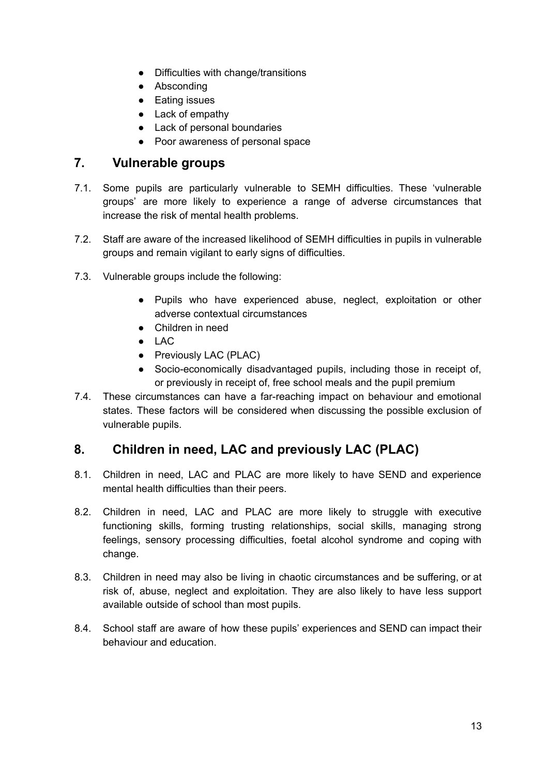- Difficulties with change/transitions
- Absconding
- Eating issues
- Lack of empathy
- Lack of personal boundaries
- Poor awareness of personal space

## <span id="page-13-0"></span>**7. Vulnerable groups**

- 7.1. Some pupils are particularly vulnerable to SEMH difficulties. These 'vulnerable groups' are more likely to experience a range of adverse circumstances that increase the risk of mental health problems.
- 7.2. Staff are aware of the increased likelihood of SEMH difficulties in pupils in vulnerable groups and remain vigilant to early signs of difficulties.
- 7.3. Vulnerable groups include the following:
	- Pupils who have experienced abuse, neglect, exploitation or other adverse contextual circumstances
	- Children in need
	- $\bullet$  LAC
	- Previously LAC (PLAC)
	- Socio-economically disadvantaged pupils, including those in receipt of, or previously in receipt of, free school meals and the pupil premium
- 7.4. These circumstances can have a far-reaching impact on behaviour and emotional states. These factors will be considered when discussing the possible exclusion of vulnerable pupils.

## <span id="page-13-1"></span>**8. Children in need, LAC and previously LAC (PLAC)**

- 8.1. Children in need, LAC and PLAC are more likely to have SEND and experience mental health difficulties than their peers.
- 8.2. Children in need, LAC and PLAC are more likely to struggle with executive functioning skills, forming trusting relationships, social skills, managing strong feelings, sensory processing difficulties, foetal alcohol syndrome and coping with change.
- 8.3. Children in need may also be living in chaotic circumstances and be suffering, or at risk of, abuse, neglect and exploitation. They are also likely to have less support available outside of school than most pupils.
- 8.4. School staff are aware of how these pupils' experiences and SEND can impact their behaviour and education.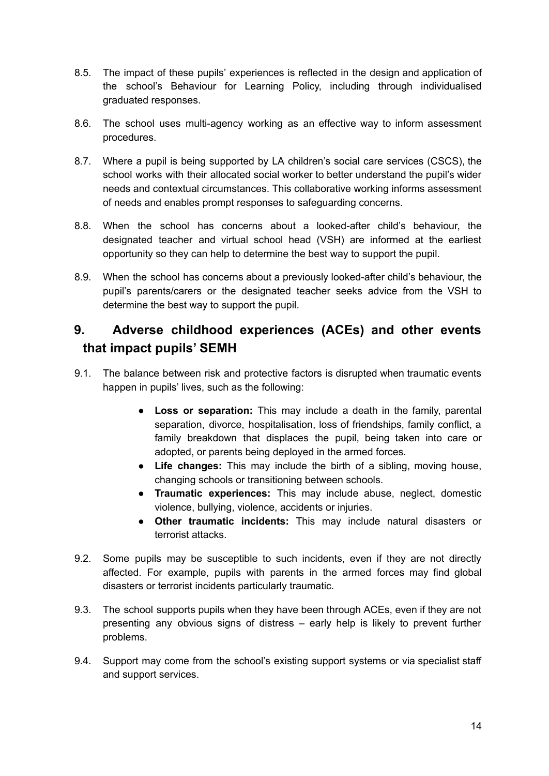- 8.5. The impact of these pupils' experiences is reflected in the design and application of the school's Behaviour for Learning Policy, including through individualised graduated responses.
- 8.6. The school uses multi-agency working as an effective way to inform assessment procedures.
- 8.7. Where a pupil is being supported by LA children's social care services (CSCS), the school works with their allocated social worker to better understand the pupil's wider needs and contextual circumstances. This collaborative working informs assessment of needs and enables prompt responses to safeguarding concerns.
- 8.8. When the school has concerns about a looked-after child's behaviour, the designated teacher and virtual school head (VSH) are informed at the earliest opportunity so they can help to determine the best way to support the pupil.
- 8.9. When the school has concerns about a previously looked-after child's behaviour, the pupil's parents/carers or the designated teacher seeks advice from the VSH to determine the best way to support the pupil.

## <span id="page-14-0"></span>**9. Adverse childhood experiences (ACEs) and other events that impact pupils' SEMH**

- 9.1. The balance between risk and protective factors is disrupted when traumatic events happen in pupils' lives, such as the following:
	- **● Loss or separation:** This may include a death in the family, parental separation, divorce, hospitalisation, loss of friendships, family conflict, a family breakdown that displaces the pupil, being taken into care or adopted, or parents being deployed in the armed forces.
	- **● Life changes:** This may include the birth of a sibling, moving house, changing schools or transitioning between schools.
	- **● Traumatic experiences:** This may include abuse, neglect, domestic violence, bullying, violence, accidents or injuries.
	- **● Other traumatic incidents:** This may include natural disasters or terrorist attacks.
- 9.2. Some pupils may be susceptible to such incidents, even if they are not directly affected. For example, pupils with parents in the armed forces may find global disasters or terrorist incidents particularly traumatic.
- 9.3. The school supports pupils when they have been through ACEs, even if they are not presenting any obvious signs of distress – early help is likely to prevent further problems.
- 9.4. Support may come from the school's existing support systems or via specialist staff and support services.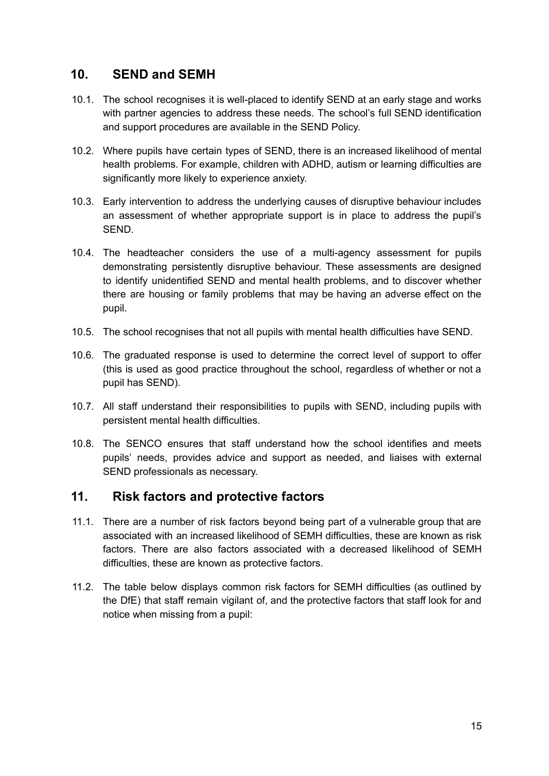## <span id="page-15-0"></span>**10. SEND and SEMH**

- 10.1. The school recognises it is well-placed to identify SEND at an early stage and works with partner agencies to address these needs. The school's full SEND identification and support procedures are available in the SEND Policy.
- 10.2. Where pupils have certain types of SEND, there is an increased likelihood of mental health problems. For example, children with ADHD, autism or learning difficulties are significantly more likely to experience anxiety.
- 10.3. Early intervention to address the underlying causes of disruptive behaviour includes an assessment of whether appropriate support is in place to address the pupil's SEND.
- 10.4. The headteacher considers the use of a multi-agency assessment for pupils demonstrating persistently disruptive behaviour. These assessments are designed to identify unidentified SEND and mental health problems, and to discover whether there are housing or family problems that may be having an adverse effect on the pupil.
- 10.5. The school recognises that not all pupils with mental health difficulties have SEND.
- 10.6. The graduated response is used to determine the correct level of support to offer (this is used as good practice throughout the school, regardless of whether or not a pupil has SEND).
- 10.7. All staff understand their responsibilities to pupils with SEND, including pupils with persistent mental health difficulties.
- 10.8. The SENCO ensures that staff understand how the school identifies and meets pupils' needs, provides advice and support as needed, and liaises with external SEND professionals as necessary.

## <span id="page-15-1"></span>**11. Risk factors and protective factors**

- 11.1. There are a number of risk factors beyond being part of a vulnerable group that are associated with an increased likelihood of SEMH difficulties, these are known as risk factors. There are also factors associated with a decreased likelihood of SEMH difficulties, these are known as protective factors.
- 11.2. The table below displays common risk factors for SEMH difficulties (as outlined by the DfE) that staff remain vigilant of, and the protective factors that staff look for and notice when missing from a pupil: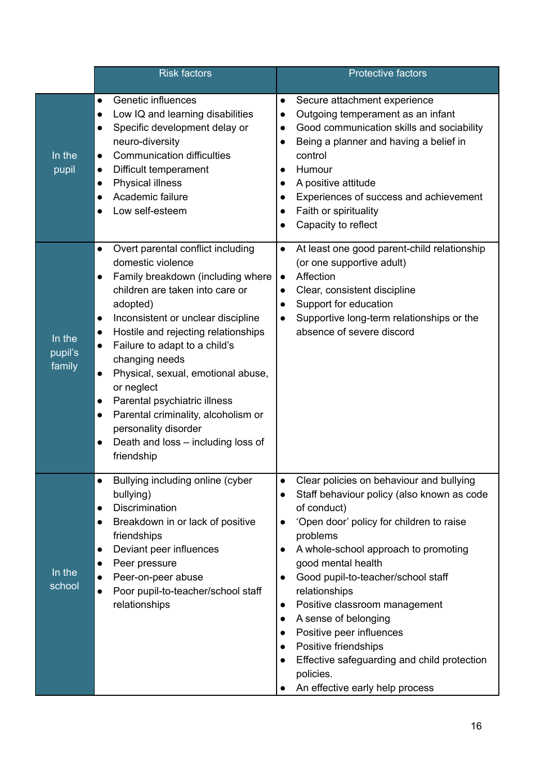|                             | <b>Risk factors</b>                                                                                                                                                                                                                                                                                                                                                                                                                                                                                                                                                                                    | <b>Protective factors</b>                                                                                                                                                                                                                                                                                                                                                                                                                                                                                                                                                                 |
|-----------------------------|--------------------------------------------------------------------------------------------------------------------------------------------------------------------------------------------------------------------------------------------------------------------------------------------------------------------------------------------------------------------------------------------------------------------------------------------------------------------------------------------------------------------------------------------------------------------------------------------------------|-------------------------------------------------------------------------------------------------------------------------------------------------------------------------------------------------------------------------------------------------------------------------------------------------------------------------------------------------------------------------------------------------------------------------------------------------------------------------------------------------------------------------------------------------------------------------------------------|
| In the<br>pupil             | Genetic influences<br>$\bullet$<br>Low IQ and learning disabilities<br>$\bullet$<br>Specific development delay or<br>$\bullet$<br>neuro-diversity<br><b>Communication difficulties</b><br>$\bullet$<br>Difficult temperament<br>$\bullet$<br><b>Physical illness</b><br>$\bullet$<br>Academic failure<br>$\bullet$<br>Low self-esteem                                                                                                                                                                                                                                                                  | Secure attachment experience<br>$\bullet$<br>Outgoing temperament as an infant<br>$\bullet$<br>Good communication skills and sociability<br>$\bullet$<br>Being a planner and having a belief in<br>control<br>Humour<br>$\bullet$<br>A positive attitude<br>$\bullet$<br>Experiences of success and achievement<br>$\bullet$<br>Faith or spirituality<br>Capacity to reflect                                                                                                                                                                                                              |
| In the<br>pupil's<br>family | Overt parental conflict including<br>$\bullet$<br>domestic violence<br>Family breakdown (including where<br>$\bullet$<br>children are taken into care or<br>adopted)<br>Inconsistent or unclear discipline<br>$\bullet$<br>Hostile and rejecting relationships<br>$\bullet$<br>Failure to adapt to a child's<br>$\bullet$<br>changing needs<br>Physical, sexual, emotional abuse,<br>$\bullet$<br>or neglect<br>Parental psychiatric illness<br>$\bullet$<br>Parental criminality, alcoholism or<br>$\bullet$<br>personality disorder<br>Death and loss - including loss of<br>$\bullet$<br>friendship | At least one good parent-child relationship<br>$\bullet$<br>(or one supportive adult)<br>Affection<br>$\bullet$<br>Clear, consistent discipline<br>$\bullet$<br>Support for education<br>$\bullet$<br>Supportive long-term relationships or the<br>$\bullet$<br>absence of severe discord                                                                                                                                                                                                                                                                                                 |
| In the<br>school            | Bullying including online (cyber<br>$\bullet$<br>bullying)<br>Discrimination<br>$\bullet$<br>Breakdown in or lack of positive<br>$\bullet$<br>friendships<br>Deviant peer influences<br>$\bullet$<br>Peer pressure<br>$\bullet$<br>Peer-on-peer abuse<br>$\bullet$<br>Poor pupil-to-teacher/school staff<br>$\bullet$<br>relationships                                                                                                                                                                                                                                                                 | Clear policies on behaviour and bullying<br>$\bullet$<br>Staff behaviour policy (also known as code<br>of conduct)<br>'Open door' policy for children to raise<br>$\bullet$<br>problems<br>A whole-school approach to promoting<br>good mental health<br>Good pupil-to-teacher/school staff<br>$\bullet$<br>relationships<br>Positive classroom management<br>$\bullet$<br>A sense of belonging<br>$\bullet$<br>Positive peer influences<br>$\bullet$<br>Positive friendships<br>$\bullet$<br>Effective safeguarding and child protection<br>policies.<br>An effective early help process |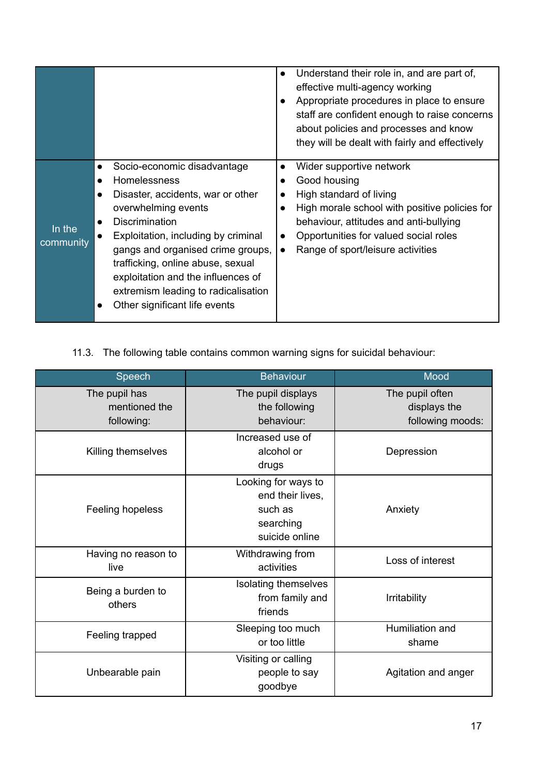|                     |                                                                                                                                                                                                                                                                                                                                                                                                                            | Understand their role in, and are part of,<br>$\bullet$<br>effective multi-agency working<br>Appropriate procedures in place to ensure<br>staff are confident enough to raise concerns<br>about policies and processes and know<br>they will be dealt with fairly and effectively                                          |
|---------------------|----------------------------------------------------------------------------------------------------------------------------------------------------------------------------------------------------------------------------------------------------------------------------------------------------------------------------------------------------------------------------------------------------------------------------|----------------------------------------------------------------------------------------------------------------------------------------------------------------------------------------------------------------------------------------------------------------------------------------------------------------------------|
| In the<br>community | Socio-economic disadvantage<br>$\bullet$<br><b>Homelessness</b><br>Disaster, accidents, war or other<br>$\bullet$<br>overwhelming events<br><b>Discrimination</b><br>$\bullet$<br>Exploitation, including by criminal<br>$\bullet$<br>gangs and organised crime groups,<br>trafficking, online abuse, sexual<br>exploitation and the influences of<br>extremism leading to radicalisation<br>Other significant life events | Wider supportive network<br>$\bullet$<br>Good housing<br>$\bullet$<br>High standard of living<br>$\bullet$<br>High morale school with positive policies for<br>$\bullet$<br>behaviour, attitudes and anti-bullying<br>Opportunities for valued social roles<br>$\bullet$<br>Range of sport/leisure activities<br>$\bullet$ |

11.3. The following table contains common warning signs for suicidal behaviour:

| Speech                                       | <b>Behaviour</b>                                                                  | Mood                                                |
|----------------------------------------------|-----------------------------------------------------------------------------------|-----------------------------------------------------|
| The pupil has<br>mentioned the<br>following: | The pupil displays<br>the following<br>behaviour:                                 | The pupil often<br>displays the<br>following moods: |
| Killing themselves                           | Increased use of<br>alcohol or<br>drugs                                           | Depression                                          |
| Feeling hopeless                             | Looking for ways to<br>end their lives,<br>such as<br>searching<br>suicide online | Anxiety                                             |
| Having no reason to<br>live                  | Withdrawing from<br>activities                                                    | Loss of interest                                    |
| Being a burden to<br>others                  | Isolating themselves<br>from family and<br>friends                                | <b>Irritability</b>                                 |
| Feeling trapped                              | Sleeping too much<br>or too little                                                | Humiliation and<br>shame                            |
| Unbearable pain                              | Visiting or calling<br>people to say<br>goodbye                                   | Agitation and anger                                 |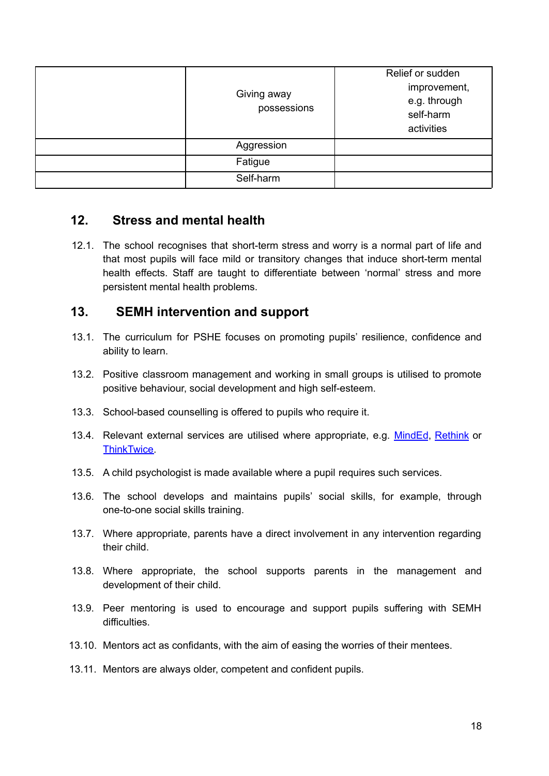| Giving away<br>possessions | Relief or sudden<br>improvement,<br>e.g. through<br>self-harm<br>activities |
|----------------------------|-----------------------------------------------------------------------------|
| Aggression                 |                                                                             |
| Fatigue                    |                                                                             |
| Self-harm                  |                                                                             |

## <span id="page-18-0"></span>**12. Stress and mental health**

12.1. The school recognises that short-term stress and worry is a normal part of life and that most pupils will face mild or transitory changes that induce short-term mental health effects. Staff are taught to differentiate between 'normal' stress and more persistent mental health problems.

## <span id="page-18-1"></span>**13. SEMH intervention and support**

- 13.1. The curriculum for PSHE focuses on promoting pupils' resilience, confidence and ability to learn.
- 13.2. Positive classroom management and working in small groups is utilised to promote positive behaviour, social development and high self-esteem.
- 13.3. School-based counselling is offered to pupils who require it.
- 13.4. Relevant external services are utilised where appropriate, e.g. [MindEd](https://www.minded.org.uk/), [Rethink](https://www.rethink.org/) or [ThinkTwice.](https://thinktwiceinfo.org/)
- 13.5. A child psychologist is made available where a pupil requires such services.
- 13.6. The school develops and maintains pupils' social skills, for example, through one-to-one social skills training.
- 13.7. Where appropriate, parents have a direct involvement in any intervention regarding their child.
- 13.8. Where appropriate, the school supports parents in the management and development of their child.
- 13.9. Peer mentoring is used to encourage and support pupils suffering with SEMH difficulties.
- 13.10. Mentors act as confidants, with the aim of easing the worries of their mentees.
- 13.11. Mentors are always older, competent and confident pupils.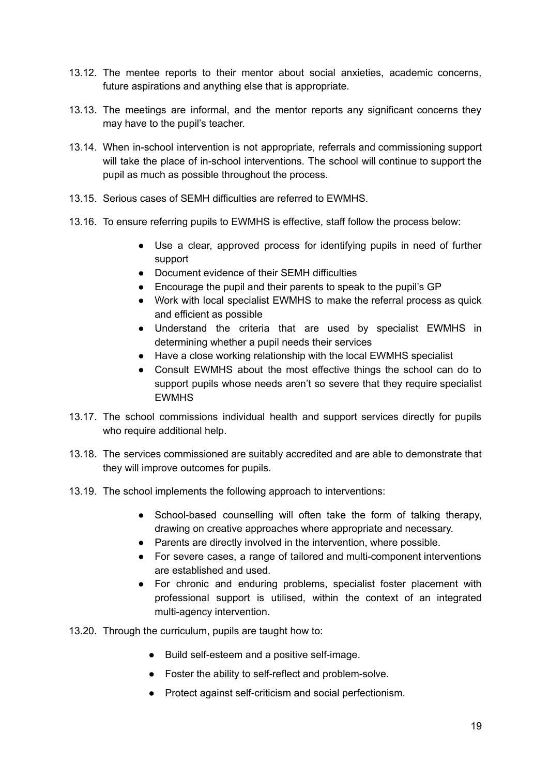- 13.12. The mentee reports to their mentor about social anxieties, academic concerns, future aspirations and anything else that is appropriate.
- 13.13. The meetings are informal, and the mentor reports any significant concerns they may have to the pupil's teacher.
- 13.14. When in-school intervention is not appropriate, referrals and commissioning support will take the place of in-school interventions. The school will continue to support the pupil as much as possible throughout the process.
- 13.15. Serious cases of SEMH difficulties are referred to EWMHS.
- 13.16. To ensure referring pupils to EWMHS is effective, staff follow the process below:
	- Use a clear, approved process for identifying pupils in need of further support
	- Document evidence of their SEMH difficulties
	- Encourage the pupil and their parents to speak to the pupil's GP
	- Work with local specialist EWMHS to make the referral process as quick and efficient as possible
	- Understand the criteria that are used by specialist EWMHS in determining whether a pupil needs their services
	- Have a close working relationship with the local EWMHS specialist
	- Consult EWMHS about the most effective things the school can do to support pupils whose needs aren't so severe that they require specialist **EWMHS**
- 13.17. The school commissions individual health and support services directly for pupils who require additional help.
- 13.18. The services commissioned are suitably accredited and are able to demonstrate that they will improve outcomes for pupils.
- 13.19. The school implements the following approach to interventions:
	- **●** School-based counselling will often take the form of talking therapy, drawing on creative approaches where appropriate and necessary.
	- Parents are directly involved in the intervention, where possible.
	- For severe cases, a range of tailored and multi-component interventions are established and used.
	- For chronic and enduring problems, specialist foster placement with professional support is utilised, within the context of an integrated multi-agency intervention.
- 13.20. Through the curriculum, pupils are taught how to:
	- Build self-esteem and a positive self-image.
	- Foster the ability to self-reflect and problem-solve.
	- Protect against self-criticism and social perfectionism.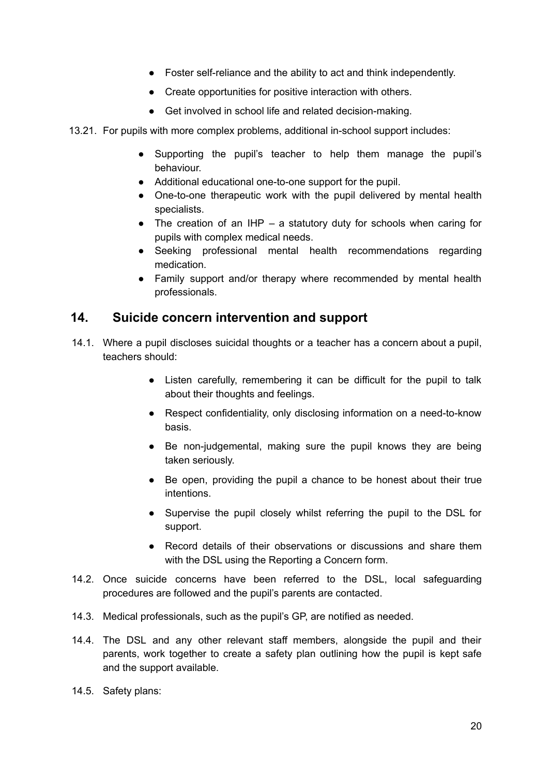- Foster self-reliance and the ability to act and think independently.
- Create opportunities for positive interaction with others.
- Get involved in school life and related decision-making.
- 13.21. For pupils with more complex problems, additional in-school support includes:
	- Supporting the pupil's teacher to help them manage the pupil's behaviour.
	- Additional educational one-to-one support for the pupil.
	- One-to-one therapeutic work with the pupil delivered by mental health specialists.
	- $\bullet$  The creation of an IHP a statutory duty for schools when caring for pupils with complex medical needs.
	- Seeking professional mental health recommendations regarding medication.
	- Family support and/or therapy where recommended by mental health professionals.

### <span id="page-20-0"></span>**14. Suicide concern intervention and support**

- 14.1. Where a pupil discloses suicidal thoughts or a teacher has a concern about a pupil, teachers should:
	- Listen carefully, remembering it can be difficult for the pupil to talk about their thoughts and feelings.
	- Respect confidentiality, only disclosing information on a need-to-know basis.
	- Be non-judgemental, making sure the pupil knows they are being taken seriously.
	- Be open, providing the pupil a chance to be honest about their true intentions.
	- Supervise the pupil closely whilst referring the pupil to the DSL for support.
	- Record details of their observations or discussions and share them with the DSL using the Reporting a Concern form.
- 14.2. Once suicide concerns have been referred to the DSL, local safeguarding procedures are followed and the pupil's parents are contacted.
- 14.3. Medical professionals, such as the pupil's GP, are notified as needed.
- 14.4. The DSL and any other relevant staff members, alongside the pupil and their parents, work together to create a safety plan outlining how the pupil is kept safe and the support available.
- 14.5. Safety plans: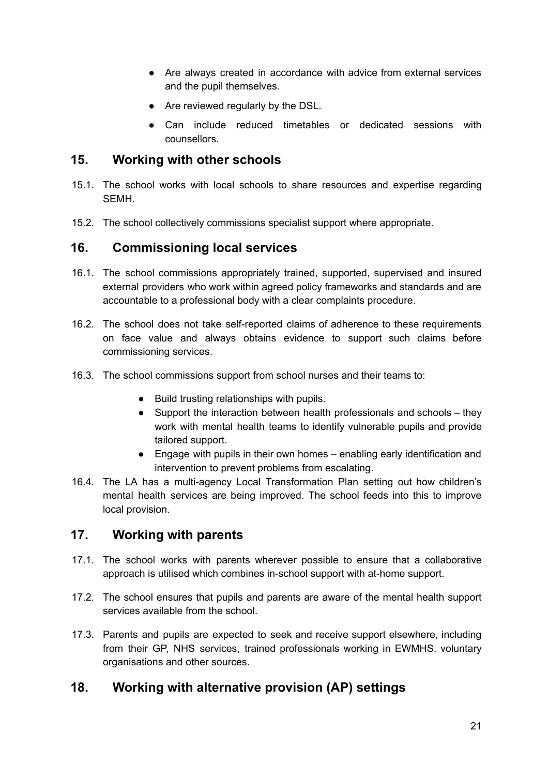- Are always created in accordance with advice from external services and the pupil themselves.
- Are reviewed regularly by the DSL.
- Can include reduced timetables or dedicated sessions with counsellors.

## <span id="page-21-0"></span>**15. Working with other schools**

- 15.1. The school works with local schools to share resources and expertise regarding SEMH.
- 15.2. The school collectively commissions specialist support where appropriate.

## <span id="page-21-1"></span>**16. Commissioning local services**

- 16.1. The school commissions appropriately trained, supported, supervised and insured external providers who work within agreed policy frameworks and standards and are accountable to a professional body with a clear complaints procedure.
- 16.2. The school does not take self-reported claims of adherence to these requirements on face value and always obtains evidence to support such claims before commissioning services.
- 16.3. The school commissions support from school nurses and their teams to:
	- Build trusting relationships with pupils.
	- Support the interaction between health professionals and schools they work with mental health teams to identify vulnerable pupils and provide tailored support.
	- Engage with pupils in their own homes enabling early identification and intervention to prevent problems from escalating.
- 16.4. The LA has a multi-agency Local Transformation Plan setting out how children's mental health services are being improved. The school feeds into this to improve local provision.

## <span id="page-21-2"></span>**17. Working with parents**

- 17.1. The school works with parents wherever possible to ensure that a collaborative approach is utilised which combines in-school support with at-home support.
- 17.2. The school ensures that pupils and parents are aware of the mental health support services available from the school.
- 17.3. Parents and pupils are expected to seek and receive support elsewhere, including from their GP, NHS services, trained professionals working in EWMHS, voluntary organisations and other sources.

## <span id="page-21-3"></span>**18. Working with alternative provision (AP) settings**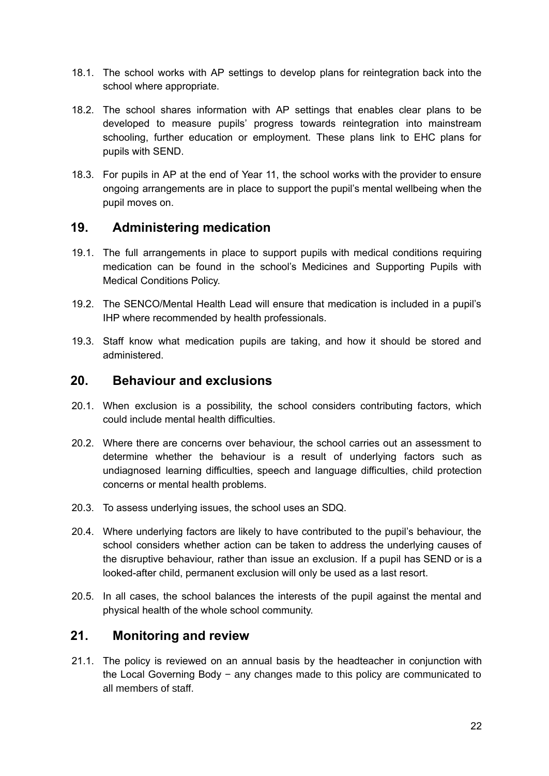- 18.1. The school works with AP settings to develop plans for reintegration back into the school where appropriate.
- 18.2. The school shares information with AP settings that enables clear plans to be developed to measure pupils' progress towards reintegration into mainstream schooling, further education or employment. These plans link to EHC plans for pupils with SEND.
- 18.3. For pupils in AP at the end of Year 11, the school works with the provider to ensure ongoing arrangements are in place to support the pupil's mental wellbeing when the pupil moves on.

### <span id="page-22-0"></span>**19. Administering medication**

- 19.1. The full arrangements in place to support pupils with medical conditions requiring medication can be found in the school's Medicines and Supporting Pupils with Medical Conditions Policy.
- 19.2. The SENCO/Mental Health Lead will ensure that medication is included in a pupil's IHP where recommended by health professionals.
- 19.3. Staff know what medication pupils are taking, and how it should be stored and administered.

#### <span id="page-22-1"></span>**20. Behaviour and exclusions**

- 20.1. When exclusion is a possibility, the school considers contributing factors, which could include mental health difficulties.
- 20.2. Where there are concerns over behaviour, the school carries out an assessment to determine whether the behaviour is a result of underlying factors such as undiagnosed learning difficulties, speech and language difficulties, child protection concerns or mental health problems.
- 20.3. To assess underlying issues, the school uses an SDQ.
- 20.4. Where underlying factors are likely to have contributed to the pupil's behaviour, the school considers whether action can be taken to address the underlying causes of the disruptive behaviour, rather than issue an exclusion. If a pupil has SEND or is a looked-after child, permanent exclusion will only be used as a last resort.
- 20.5. In all cases, the school balances the interests of the pupil against the mental and physical health of the whole school community.

## <span id="page-22-2"></span>**21. Monitoring and review**

21.1. The policy is reviewed on an annual basis by the headteacher in conjunction with the Local Governing Body − any changes made to this policy are communicated to all members of staff.